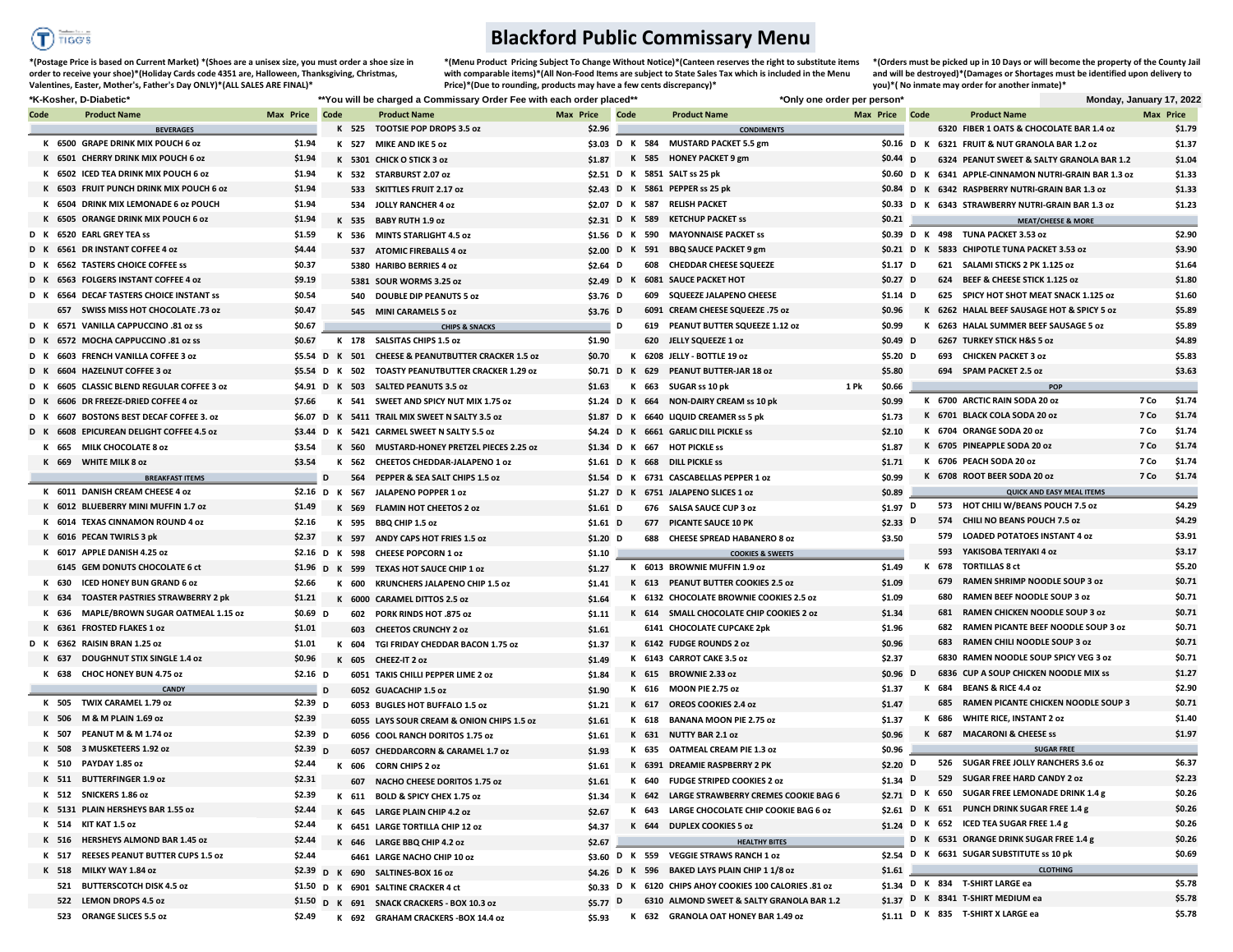

## **Blackford Public Commissary Menu**

**\*(Postage Price is based on Current Market) \*(Shoes are a unisex size, you must order a shoe size in order to receive your shoe)\*(Holiday Cards code 4351 are, Halloween, Thanksgiving, Christmas, Valentines, Easter, Mother's, Father's Day ONLY)\*(ALL SALES ARE FINAL)\***

**\*(Orders must be picked up in 10 Days or will become the property of the County Jail \*(Menu Product Pricing Subject To Change Without Notice)\*(Canteen reserves the right to substitute items with comparable items)\*(All Non-Food Items are subject to State Sales Tax which is included in the Menu Price)\*(Due to rounding, products may have a few cents discrepancy)\*** 

**and will be destroyed)\*(Damages or Shortages must be identified upon delivery to you)\*( No inmate may order for another inmate)\***

| *K-Kosher, D-Diabetic* |       |                                            |                       | **You will be charged a Commissary Order Fee with each order placed** |     |                                                     |                       |  |       | *Only one order per person*                            |      |                       |  | Monday, January 17, 2022                  |                                                       |           |               |
|------------------------|-------|--------------------------------------------|-----------------------|-----------------------------------------------------------------------|-----|-----------------------------------------------------|-----------------------|--|-------|--------------------------------------------------------|------|-----------------------|--|-------------------------------------------|-------------------------------------------------------|-----------|---------------|
| Code                   |       | <b>Product Name</b>                        | Max Price Code        |                                                                       |     | <b>Product Name</b>                                 | Max Price Code        |  |       | <b>Product Name</b>                                    |      | Max Price Code        |  | <b>Product Name</b>                       |                                                       | Max Price |               |
|                        |       | <b>BEVERAGES</b>                           |                       |                                                                       |     | K 525 TOOTSIE POP DROPS 3.5 oz                      | \$2.96                |  |       | <b>CONDIMENTS</b>                                      |      |                       |  |                                           | 6320 FIBER 1 OATS & CHOCOLATE BAR 1.4 oz              |           | \$1.79        |
|                        |       | K 6500 GRAPE DRINK MIX POUCH 6 oz          | \$1.94                |                                                                       |     | K 527 MIKE AND IKE 5 oz                             |                       |  |       | \$3.03 D K 584 MUSTARD PACKET 5.5 gm                   |      |                       |  |                                           | \$0.16 D K 6321 FRUIT & NUT GRANOLA BAR 1.2 oz        |           | \$1.37        |
|                        |       | K 6501 CHERRY DRINK MIX POUCH 6 oz         | \$1.94                |                                                                       |     | K 5301 CHICK O STICK 3 oz                           | \$1.87                |  |       | K 585 HONEY PACKET 9 gm                                |      | $$0.44$ D             |  |                                           | 6324 PEANUT SWEET & SALTY GRANOLA BAR 1.2             |           | \$1.04        |
|                        |       | K 6502 ICED TEA DRINK MIX POUCH 6 oz       | \$1.94                |                                                                       |     | K 532 STARBURST 2.07 oz                             |                       |  |       | \$2.51 D K 5851 SALT ss 25 pk                          |      |                       |  |                                           | \$0.60 D K 6341 APPLE-CINNAMON NUTRI-GRAIN BAR 1.3 oz |           | \$1.33        |
|                        |       | K 6503 FRUIT PUNCH DRINK MIX POUCH 6 oz    | \$1.94                |                                                                       |     | 533 SKITTLES FRUIT 2.17 oz                          |                       |  |       | \$2.43 D K 5861 PEPPER ss 25 pk                        |      |                       |  |                                           | \$0.84 D K 6342 RASPBERRY NUTRI-GRAIN BAR 1.3 oz      |           | \$1.33        |
|                        |       | K 6504 DRINK MIX LEMONADE 6 oz POUCH       | \$1.94                |                                                                       |     | 534 JOLLY RANCHER 4 oz                              |                       |  |       | \$2.07 D K 587 RELISH PACKET                           |      |                       |  |                                           | \$0.33 D K 6343 STRAWBERRY NUTRI-GRAIN BAR 1.3 oz     |           | \$1.23        |
|                        |       | K 6505 ORANGE DRINK MIX POUCH 6 oz         | \$1.94                |                                                                       |     | K 535 BABY RUTH 1.9 oz                              |                       |  |       | \$2.31 D K 589 KETCHUP PACKET ss                       |      | \$0.21                |  |                                           | <b>MEAT/CHEESE &amp; MORE</b>                         |           |               |
|                        |       | D K 6520 EARL GREY TEA ss                  | \$1.59                |                                                                       |     | K 536 MINTS STARLIGHT 4.5 oz                        |                       |  |       | \$1.56 D K 590 MAYONNAISE PACKET ss                    |      |                       |  | \$0.39 D K 498 TUNA PACKET 3.53 oz        |                                                       |           | \$2.90        |
|                        |       | D K 6561 DR INSTANT COFFEE 4 oz            | \$4.44                |                                                                       |     | 537 ATOMIC FIREBALLS 4 oz                           | \$2.00 D K            |  |       | 591 BBQ SAUCE PACKET 9 gm                              |      |                       |  |                                           | \$0.21 D K 5833 CHIPOTLE TUNA PACKET 3.53 oz          |           | \$3.90        |
|                        |       | D K 6562 TASTERS CHOICE COFFEE SS          | \$0.37                |                                                                       |     | 5380 HARIBO BERRIES 4 oz                            | \$2.64 $D$            |  |       | <b>608 CHEDDAR CHEESE SQUEEZE</b>                      |      | $$1.17$ D             |  |                                           | 621 SALAMI STICKS 2 PK 1.125 oz                       |           | \$1.64        |
|                        |       | D K 6563 FOLGERS INSTANT COFFEE 4 oz       | \$9.19                |                                                                       |     | 5381 SOUR WORMS 3.25 oz                             | \$2.49 $D$ K          |  |       | <b>6081 SAUCE PACKET HOT</b>                           |      | $$0.27$ D             |  |                                           | 624 BEEF & CHEESE STICK 1.125 oz                      |           | \$1.80        |
|                        |       | D K 6564 DECAF TASTERS CHOICE INSTANT SS   | \$0.54                |                                                                       |     | 540 DOUBLE DIP PEANUTS 5 oz                         | \$3.76 D              |  |       | 609 SQUEEZE JALAPENO CHEESE                            |      | $$1.14$ D             |  |                                           | 625 SPICY HOT SHOT MEAT SNACK 1.125 oz                |           | \$1.60        |
|                        |       | 657 SWISS MISS HOT CHOCOLATE .73 oz        | \$0.47                |                                                                       |     | 545 MINI CARAMELS 5 oz                              | \$3.76 D              |  |       | 6091 CREAM CHEESE SQUEEZE .75 oz                       |      | \$0.96                |  |                                           | K 6262 HALAL BEEF SAUSAGE HOT & SPICY 5 oz            |           | \$5.89        |
|                        |       | D K 6571 VANILLA CAPPUCCINO .81 oz ss      | \$0.67                |                                                                       |     | <b>CHIPS &amp; SNACKS</b>                           | $\blacksquare$        |  |       | 619 PEANUT BUTTER SQUEEZE 1.12 oz                      |      | \$0.99                |  |                                           | K 6263 HALAL SUMMER BEEF SAUSAGE 5 oz                 |           | \$5.89        |
|                        |       | D K 6572 MOCHA CAPPUCCINO .81 oz ss        | \$0.67                |                                                                       |     | K 178 SALSITAS CHIPS 1.5 oz                         | \$1.90                |  |       | 620 JELLY SQUEEZE 1 oz                                 |      | $$0.49$ D             |  | 6267 TURKEY STICK H&S 5 oz                |                                                       |           | \$4.89        |
|                        |       | D K 6603 FRENCH VANILLA COFFEE 3 oz        |                       |                                                                       |     | \$5.54 D K 501 CHEESE & PEANUTBUTTER CRACKER 1.5 oz | \$0.70                |  |       | K 6208 JELLY - BOTTLE 19 oz                            |      | \$5.20 D              |  | 693 CHICKEN PACKET 3 oz                   |                                                       |           | \$5.83        |
|                        |       | 6604 HAZELNUT COFFEE 3 oz                  |                       |                                                                       |     | \$5.54 D K 502 TOASTY PEANUTBUTTER CRACKER 1.29 oz  | \$0.71 D K            |  |       | 629 PEANUT BUTTER-JAR 18 oz                            |      | \$5.80                |  | 694 SPAM PACKET 2.5 oz                    |                                                       |           | \$3.63        |
|                        |       | D K 6605 CLASSIC BLEND REGULAR COFFEE 3 0Z |                       |                                                                       |     | \$4.91 D K 503 SALTED PEANUTS 3.5 oz                | \$1.63                |  |       | K 663 SUGAR ss 10 pk                                   | 1 Pk | \$0.66                |  |                                           | POP                                                   |           |               |
| D K                    |       | 6606 DR FREEZE-DRIED COFFEE 4 oz           | \$7.66                |                                                                       |     | K 541 SWEET AND SPICY NUT MIX 1.75 oz               | \$1.24 D K            |  |       | 664 NON-DAIRY CREAM ss 10 pk                           |      | \$0.99                |  | K 6700 ARCTIC RAIN SODA 20 oz             |                                                       | 7 Co      | \$1.74        |
|                        |       | D K 6607 BOSTONS BEST DECAF COFFEE 3. oz   |                       |                                                                       |     | \$6.07 D K 5411 TRAIL MIX SWEET N SALTY 3.5 oz      |                       |  |       | \$1.87 D K 6640 LIQUID CREAMER ss 5 pk                 |      | \$1.73                |  | K 6701 BLACK COLA SODA 20 oz              |                                                       | 7 Co      | \$1.74        |
|                        |       | D K 6608 EPICUREAN DELIGHT COFFEE 4.5 oz   |                       |                                                                       |     | \$3.44 D K 5421 CARMEL SWEET N SALTY 5.5 oz         | \$4.24 D K            |  |       | <b>6661 GARLIC DILL PICKLE SS</b>                      |      | \$2.10                |  | K 6704 ORANGE SODA 20 oz                  |                                                       | 7 Co      | \$1.74        |
|                        |       | K 665 MILK CHOCOLATE 8 oz                  | \$3.54                |                                                                       |     | K 560 MUSTARD-HONEY PRETZEL PIECES 2.25 oz          |                       |  |       | \$1.34 D K 667 HOT PICKLE ss                           |      | \$1.87                |  | K 6705 PINEAPPLE SODA 20 oz               |                                                       | 7 Co      | \$1.74        |
|                        |       | K 669 WHITE MILK 8 oz                      | \$3.54                |                                                                       |     | K 562 CHEETOS CHEDDAR-JALAPENO 1 oz                 | \$1.61 $D K$          |  |       | 668 DILL PICKLE ss                                     |      | \$1.71                |  | K 6706 PEACH SODA 20 oz                   |                                                       | 7 Co      | \$1.74        |
|                        |       | <b>BREAKFAST ITEMS</b>                     |                       | D                                                                     | 564 | PEPPER & SEA SALT CHIPS 1.5 oz                      |                       |  |       | \$1.54 D K 6731 CASCABELLAS PEPPER 1 oz                |      | \$0.99                |  | K 6708 ROOT BEER SODA 20 oz               |                                                       | 7 Co      | \$1.74        |
|                        |       | K 6011 DANISH CREAM CHEESE 4 oz            | \$2.16 D K 567        |                                                                       |     | <b>JALAPENO POPPER 1 oz</b>                         | $$1.27$ D K           |  |       | 6751 JALAPENO SLICES 1 oz                              |      | \$0.89                |  |                                           | <b>QUICK AND EASY MEAL ITEMS</b>                      |           |               |
|                        |       | K 6012 BLUEBERRY MINI MUFFIN 1.7 oz        | \$1.49                |                                                                       |     | K 569 FLAMIN HOT CHEETOS 2 oz                       |                       |  |       | 676 SALSA SAUCE CUP 3 oz                               |      | \$1.97 $\overline{D}$ |  |                                           | 573 HOT CHILI W/BEANS POUCH 7.5 oz                    |           | \$4.29        |
|                        |       | K 6014 TEXAS CINNAMON ROUND 4 oz           | \$2.16                |                                                                       |     |                                                     | $$1.61$ D             |  |       | 677 PICANTE SAUCE 10 PK                                |      | $$2.33$ D             |  |                                           | 574 CHILI NO BEANS POUCH 7.5 oz                       |           | \$4.29        |
|                        |       | K 6016 PECAN TWIRLS 3 pk                   | \$2.37                |                                                                       |     | K 595 BBQ CHIP 1.5 oz                               | $$1.61$ D             |  |       | 688 CHEESE SPREAD HABANERO 8 oz                        |      |                       |  |                                           | 579 LOADED POTATOES INSTANT 4 oz                      |           | \$3.91        |
|                        |       | K 6017 APPLE DANISH 4.25 oz                |                       |                                                                       |     | K 597 ANDY CAPS HOT FRIES 1.5 oz                    | $$1.20$ D             |  |       |                                                        |      | \$3.50                |  | 593 YAKISOBA TERIYAKI 4 oz                |                                                       |           | \$3.17        |
|                        |       |                                            |                       |                                                                       |     | \$2.16 D K 598 CHEESE POPCORN 1 oz                  | \$1.10                |  |       | <b>COOKIES &amp; SWEETS</b>                            |      |                       |  | K 678 TORTILLAS 8 ct                      |                                                       |           | \$5.20        |
|                        |       | 6145 GEM DONUTS CHOCOLATE 6 ct             |                       |                                                                       |     | \$1.96 D K 599 TEXAS HOT SAUCE CHIP 1 oz            | \$1.27                |  |       | K 6013 BROWNIE MUFFIN 1.9 oz                           |      | \$1.49                |  |                                           | 679 RAMEN SHRIMP NOODLE SOUP 3 oz                     |           | \$0.71        |
|                        | K 630 | <b>ICED HONEY BUN GRAND 6 oz</b>           | \$2.66                |                                                                       |     | K 600 KRUNCHERS JALAPENO CHIP 1.5 oz                | \$1.41                |  |       | K 613 PEANUT BUTTER COOKIES 2.5 oz                     |      | \$1.09                |  | 680                                       | RAMEN BEEF NOODLE SOUP 3 oz                           |           | \$0.71        |
|                        |       | K 634 TOASTER PASTRIES STRAWBERRY 2 pk     | \$1.21                |                                                                       |     | K 6000 CARAMEL DITTOS 2.5 oz                        | \$1.64                |  |       | K 6132 CHOCOLATE BROWNIE COOKIES 2.5 oz                |      | \$1.09                |  |                                           | 681 RAMEN CHICKEN NOODLE SOUP 3 oz                    |           | \$0.71        |
|                        | K 636 | MAPLE/BROWN SUGAR OATMEAL 1.15 oz          | \$0.69 D              |                                                                       | 602 | <b>PORK RINDS HOT .875 oz</b>                       | \$1.11                |  |       | K 614 SMALL CHOCOLATE CHIP COOKIES 2 oz                |      | \$1.34                |  |                                           | 682 RAMEN PICANTE BEEF NOODLE SOUP 3 oz               |           | \$0.71        |
|                        |       | K 6361 FROSTED FLAKES 1 oz                 | \$1.01                |                                                                       |     | 603 CHEETOS CRUNCHY 2 oz                            | \$1.61                |  |       | 6141 CHOCOLATE CUPCAKE 2pk                             |      | \$1.96                |  |                                           | 683 RAMEN CHILI NOODLE SOUP 3 oz                      |           | \$0.71        |
|                        |       | D K 6362 RAISIN BRAN 1.25 oz               | \$1.01                |                                                                       |     | K 604 TGI FRIDAY CHEDDAR BACON 1.75 oz              | \$1.37                |  |       | K 6142 FUDGE ROUNDS 2 oz                               |      | \$0.96                |  |                                           |                                                       |           |               |
|                        |       | K 637 DOUGHNUT STIX SINGLE 1.4 oz          | \$0.96                |                                                                       |     | K 605 CHEEZ-IT 2 oz                                 | \$1.49                |  |       | K 6143 CARROT CAKE 3.5 oz                              |      | \$2.37                |  |                                           | 6830 RAMEN NOODLE SOUP SPICY VEG 3 oz                 |           | \$0.71        |
|                        |       | K 638 CHOC HONEY BUN 4.75 oz               | \$2.16 $\sqrt{D}$     |                                                                       |     | 6051 TAKIS CHILLI PEPPER LIME 2 oz                  | \$1.84                |  |       | K 615 BROWNIE 2.33 oz                                  |      | $$0.96$ D             |  |                                           | 6836 CUP A SOUP CHICKEN NOODLE MIX ss                 |           | \$1.27        |
|                        |       | <b>CANDY</b>                               |                       | D                                                                     |     | 6052 GUACACHIP 1.5 oz                               | \$1.90                |  |       | K 616 MOON PIE 2.75 oz                                 |      | \$1.37                |  | K 684 BEANS & RICE 4.4 oz                 |                                                       |           | \$2.90        |
|                        |       | K 505 TWIX CARAMEL 1.79 oz                 | \$2.39 $D$            |                                                                       |     | 6053 BUGLES HOT BUFFALO 1.5 oz                      | \$1.21                |  | K 617 | <b>OREOS COOKIES 2.4 oz</b>                            |      | \$1.47                |  |                                           | 685 RAMEN PICANTE CHICKEN NOODLE SOUP 3               |           | \$0.71        |
|                        | K 506 | M & M PLAIN 1.69 oz                        | \$2.39                |                                                                       |     | 6055 LAYS SOUR CREAM & ONION CHIPS 1.5 oz           | \$1.61                |  |       | K 618 BANANA MOON PIE 2.75 oz                          |      | \$1.37                |  | K 686 WHITE RICE, INSTANT 2 oz            |                                                       |           | \$1.40        |
|                        | K 507 | PEANUT M & M 1.74 oz                       | \$2.39 $D$            |                                                                       |     | 6056 COOL RANCH DORITOS 1.75 oz                     | \$1.61                |  |       | K 631 NUTTY BAR 2.1 oz                                 |      | \$0.96                |  | K 687 MACARONI & CHEESE ss                |                                                       |           | \$1.97        |
|                        |       | K 508 3 MUSKETEERS 1.92 oz                 | \$2.39 $\overline{D}$ |                                                                       |     | 6057 CHEDDARCORN & CARAMEL 1.7 oz                   | \$1.93                |  |       | K 635 OATMEAL CREAM PIE 1.3 oz                         |      | \$0.96                |  |                                           | <b>SUGAR FREE</b>                                     |           |               |
|                        |       | K 510 PAYDAY 1.85 oz                       | \$2.44                |                                                                       |     | K 606 CORN CHIPS 2 oz                               | \$1.61                |  |       | K 6391 DREAMIE RASPBERRY 2 PK                          |      | \$2.20 $D$            |  |                                           | 526 SUGAR FREE JOLLY RANCHERS 3.6 oz                  |           | \$6.37        |
|                        |       | K 511 BUTTERFINGER 1.9 oz                  | \$2.31                |                                                                       |     | 607 NACHO CHEESE DORITOS 1.75 oz                    | \$1.61                |  |       | K 640 FUDGE STRIPED COOKIES 2 oz                       |      | $$1.34$ D             |  |                                           | 529 SUGAR FREE HARD CANDY 2 oz                        |           | \$2.23        |
|                        |       | K 512 SNICKERS 1.86 oz                     | \$2.39                |                                                                       |     | K 611 BOLD & SPICY CHEX 1.75 oz                     | \$1.34                |  |       | K 642 LARGE STRAWBERRY CREMES COOKIE BAG 6             |      |                       |  |                                           | \$2.71 D K 650 SUGAR FREE LEMONADE DRINK 1.4 g        |           | <b>\$0.26</b> |
|                        |       | K 5131 PLAIN HERSHEYS BAR 1.55 oz          | \$2.44                |                                                                       |     | K 645 LARGE PLAIN CHIP 4.2 oz                       | \$2.67                |  |       | K 643 LARGE CHOCOLATE CHIP COOKIE BAG 6 oz             |      |                       |  |                                           | \$2.61 D K 651 PUNCH DRINK SUGAR FREE 1.4 g           |           | \$0.26        |
|                        |       | K 514 KIT KAT 1.5 oz                       | \$2.44                |                                                                       |     | K 6451 LARGE TORTILLA CHIP 12 oz                    | \$4.37                |  |       | K 644 DUPLEX COOKIES 5 oz                              |      |                       |  | \$1.24 D K 652 ICED TEA SUGAR FREE 1.4 g  |                                                       |           | \$0.26        |
|                        |       | K 516 HERSHEYS ALMOND BAR 1.45 oz          | \$2.44                |                                                                       |     | K 646 LARGE BBQ CHIP 4.2 oz                         | \$2.67                |  |       | <b>HEALTHY BITES</b>                                   |      |                       |  |                                           | D K 6531 ORANGE DRINK SUGAR FREE 1.4 g                |           | \$0.26        |
|                        |       | K 517 REESES PEANUT BUTTER CUPS 1.5 oz     | \$2.44                |                                                                       |     | 6461 LARGE NACHO CHIP 10 oz                         |                       |  |       | \$3.60 D K 559 VEGGIE STRAWS RANCH 1 oz                |      |                       |  | \$2.54 D K 6631 SUGAR SUBSTITUTE ss 10 pk |                                                       |           | \$0.69        |
|                        |       | K 518 MILKY WAY 1.84 oz                    |                       |                                                                       |     | \$2.39 D K 690 SALTINES-BOX 16 oz                   |                       |  |       | \$4.26 D K 596 BAKED LAYS PLAIN CHIP 1 1/8 oz          |      |                       |  | \$1.61                                    | <b>CLOTHING</b>                                       |           |               |
|                        |       | 521 BUTTERSCOTCH DISK 4.5 oz               |                       |                                                                       |     | \$1.50 D K 6901 SALTINE CRACKER 4 ct                |                       |  |       | \$0.33 D K 6120 CHIPS AHOY COOKIES 100 CALORIES .81 oz |      |                       |  | \$1.34 D K 834 T-SHIRT LARGE ea           |                                                       |           | \$5.78        |
|                        |       | 522 LEMON DROPS 4.5 oz                     |                       |                                                                       |     | \$1.50 D K 691 SNACK CRACKERS - BOX 10.3 oz         | \$5.77 $\overline{D}$ |  |       | 6310 ALMOND SWEET & SALTY GRANOLA BAR 1.2              |      |                       |  | \$1.37 D K 8341 T-SHIRT MEDIUM ea         |                                                       |           | \$5.78        |
|                        |       | 523 ORANGE SLICES 5.5 oz                   | \$2.49                |                                                                       |     | K 692 GRAHAM CRACKERS - BOX 14.4 oz                 | \$5.93                |  |       | K 632 GRANOLA OAT HONEY BAR 1.49 oz                    |      |                       |  | \$1.11 D K 835 T-SHIRT X LARGE ea         |                                                       |           | \$5.78        |